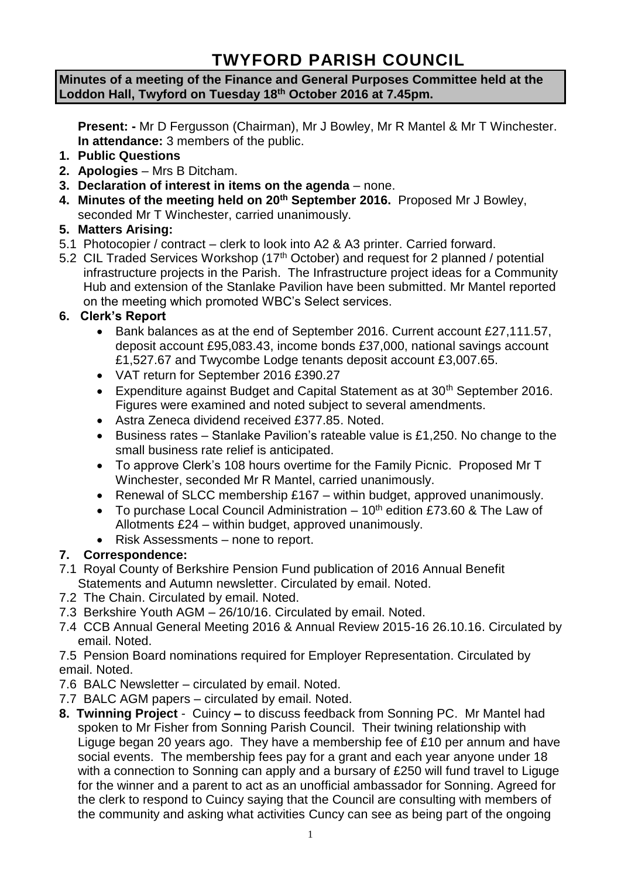# **TWYFORD PARISH COUNCIL**

#### **Minutes of a meeting of the Finance and General Purposes Committee held at the Loddon Hall, Twyford on Tuesday 18th October 2016 at 7.45pm.**

**Present: -** Mr D Fergusson (Chairman), Mr J Bowley, Mr R Mantel & Mr T Winchester. **In attendance:** 3 members of the public.

- **1. Public Questions**
- **2. Apologies** Mrs B Ditcham.
- **3. Declaration of interest in items on the agenda**  none.
- **4. Minutes of the meeting held on 20th September 2016.** Proposed Mr J Bowley, seconded Mr T Winchester, carried unanimously.

### **5. Matters Arising:**

- 5.1 Photocopier / contract clerk to look into A2 & A3 printer. Carried forward.
- 5.2 CIL Traded Services Workshop (17<sup>th</sup> October) and request for 2 planned / potential infrastructure projects in the Parish. The Infrastructure project ideas for a Community Hub and extension of the Stanlake Pavilion have been submitted. Mr Mantel reported on the meeting which promoted WBC's Select services.

# **6. Clerk's Report**

- Bank balances as at the end of September 2016. Current account £27,111.57, deposit account £95,083.43, income bonds £37,000, national savings account £1,527.67 and Twycombe Lodge tenants deposit account £3,007.65.
- VAT return for September 2016 £390.27
- Expenditure against Budget and Capital Statement as at  $30<sup>th</sup>$  September 2016. Figures were examined and noted subject to several amendments.
- Astra Zeneca dividend received £377.85. Noted.
- Business rates Stanlake Pavilion's rateable value is £1,250. No change to the small business rate relief is anticipated.
- To approve Clerk's 108 hours overtime for the Family Picnic. Proposed Mr T Winchester, seconded Mr R Mantel, carried unanimously.
- Renewal of SLCC membership £167 within budget, approved unanimously.
- $\bullet$  To purchase Local Council Administration 10<sup>th</sup> edition £73.60 & The Law of Allotments £24 – within budget, approved unanimously.
- Risk Assessments none to report.

# **7. Correspondence:**

- 7.1 Royal County of Berkshire Pension Fund publication of 2016 Annual Benefit Statements and Autumn newsletter. Circulated by email. Noted.
- 7.2 The Chain. Circulated by email. Noted.
- 7.3 Berkshire Youth AGM 26/10/16. Circulated by email. Noted.
- 7.4 CCB Annual General Meeting 2016 & Annual Review 2015-16 26.10.16. Circulated by email. Noted.

7.5 Pension Board nominations required for Employer Representation. Circulated by email. Noted.

- 7.6 BALC Newsletter circulated by email. Noted.
- 7.7 BALC AGM papers circulated by email. Noted.
- **8. Twinning Project**  Cuincy **–** to discuss feedback from Sonning PC. Mr Mantel had spoken to Mr Fisher from Sonning Parish Council. Their twining relationship with Liguge began 20 years ago. They have a membership fee of £10 per annum and have social events. The membership fees pay for a grant and each year anyone under 18 with a connection to Sonning can apply and a bursary of £250 will fund travel to Liguge for the winner and a parent to act as an unofficial ambassador for Sonning. Agreed for the clerk to respond to Cuincy saying that the Council are consulting with members of the community and asking what activities Cuncy can see as being part of the ongoing